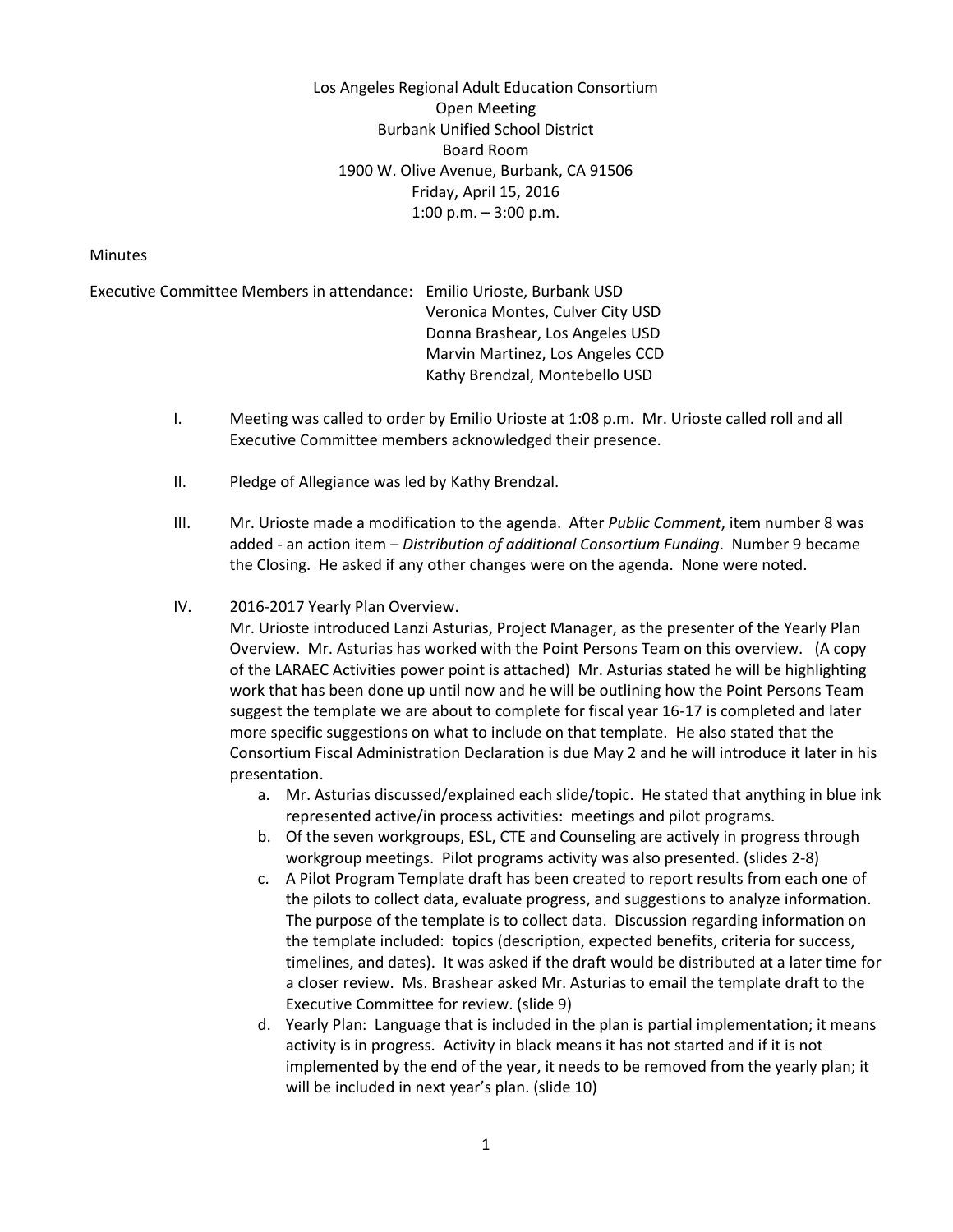Los Angeles Regional Adult Education Consortium Open Meeting Burbank Unified School District Board Room 1900 W. Olive Avenue, Burbank, CA 91506 Friday, April 15, 2016 1:00 p.m. – 3:00 p.m.

## **Minutes**

Executive Committee Members in attendance: Emilio Urioste, Burbank USD Veronica Montes, Culver City USD Donna Brashear, Los Angeles USD Marvin Martinez, Los Angeles CCD Kathy Brendzal, Montebello USD

- I. Meeting was called to order by Emilio Urioste at 1:08 p.m. Mr. Urioste called roll and all Executive Committee members acknowledged their presence.
- II. Pledge of Allegiance was led by Kathy Brendzal.
- III. Mr. Urioste made a modification to the agenda. After *Public Comment*, item number 8 was added - an action item – *Distribution of additional Consortium Funding*. Number 9 became the Closing. He asked if any other changes were on the agenda. None were noted.

## IV. 2016-2017 Yearly Plan Overview.

Mr. Urioste introduced Lanzi Asturias, Project Manager, as the presenter of the Yearly Plan Overview. Mr. Asturias has worked with the Point Persons Team on this overview. (A copy of the LARAEC Activities power point is attached) Mr. Asturias stated he will be highlighting work that has been done up until now and he will be outlining how the Point Persons Team suggest the template we are about to complete for fiscal year 16-17 is completed and later more specific suggestions on what to include on that template. He also stated that the Consortium Fiscal Administration Declaration is due May 2 and he will introduce it later in his presentation.

- a. Mr. Asturias discussed/explained each slide/topic. He stated that anything in blue ink represented active/in process activities: meetings and pilot programs.
- b. Of the seven workgroups, ESL, CTE and Counseling are actively in progress through workgroup meetings. Pilot programs activity was also presented. (slides 2-8)
- c. A Pilot Program Template draft has been created to report results from each one of the pilots to collect data, evaluate progress, and suggestions to analyze information. The purpose of the template is to collect data. Discussion regarding information on the template included: topics (description, expected benefits, criteria for success, timelines, and dates). It was asked if the draft would be distributed at a later time for a closer review. Ms. Brashear asked Mr. Asturias to email the template draft to the Executive Committee for review. (slide 9)
- d. Yearly Plan: Language that is included in the plan is partial implementation; it means activity is in progress. Activity in black means it has not started and if it is not implemented by the end of the year, it needs to be removed from the yearly plan; it will be included in next year's plan. (slide 10)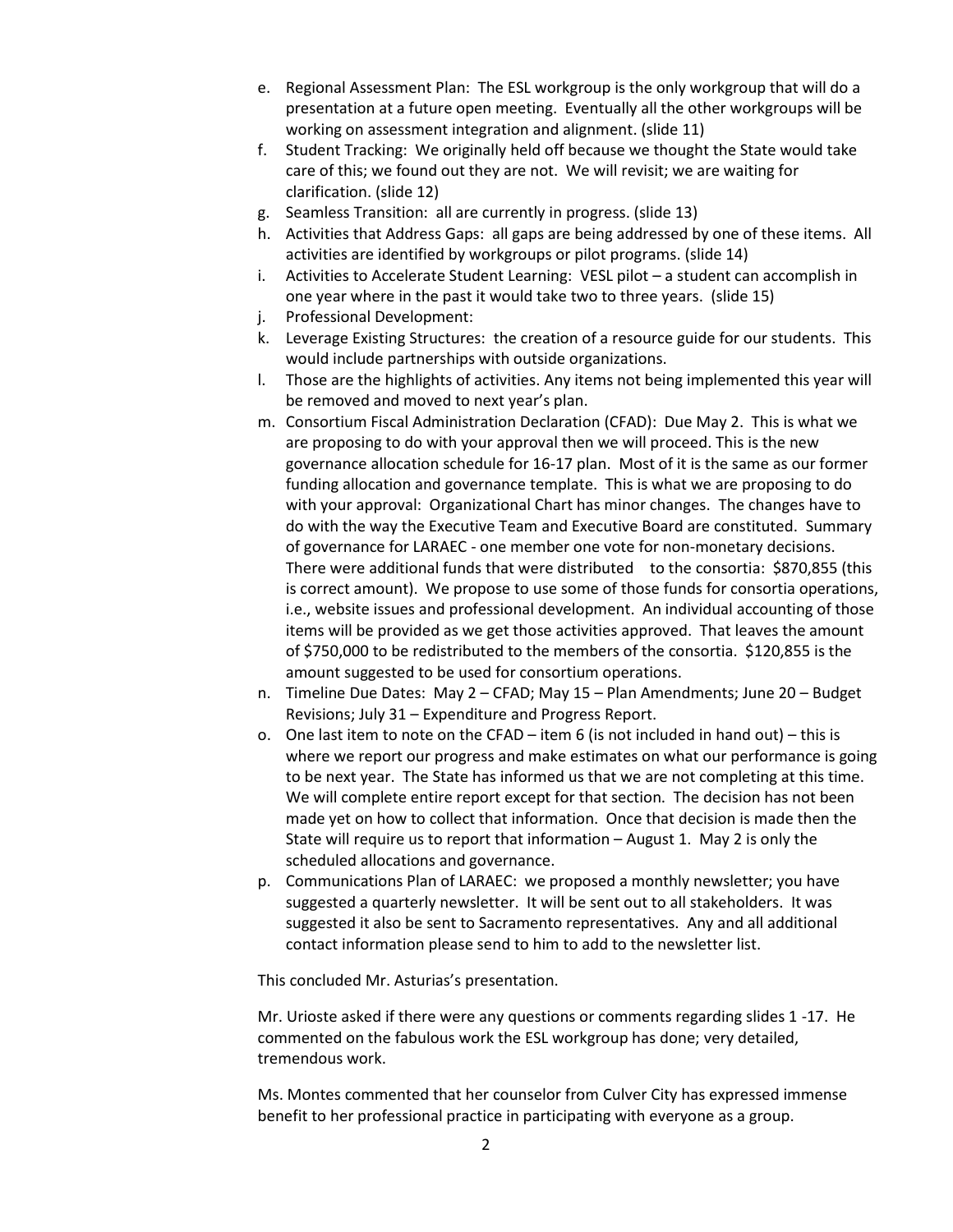- e. Regional Assessment Plan: The ESL workgroup is the only workgroup that will do a presentation at a future open meeting. Eventually all the other workgroups will be working on assessment integration and alignment. (slide 11)
- f. Student Tracking: We originally held off because we thought the State would take care of this; we found out they are not. We will revisit; we are waiting for clarification. (slide 12)
- g. Seamless Transition: all are currently in progress. (slide 13)
- h. Activities that Address Gaps: all gaps are being addressed by one of these items. All activities are identified by workgroups or pilot programs. (slide 14)
- i. Activities to Accelerate Student Learning: VESL pilot a student can accomplish in one year where in the past it would take two to three years. (slide 15)
- j. Professional Development:
- k. Leverage Existing Structures: the creation of a resource guide for our students. This would include partnerships with outside organizations.
- l. Those are the highlights of activities. Any items not being implemented this year will be removed and moved to next year's plan.
- m. Consortium Fiscal Administration Declaration (CFAD): Due May 2. This is what we are proposing to do with your approval then we will proceed. This is the new governance allocation schedule for 16-17 plan. Most of it is the same as our former funding allocation and governance template. This is what we are proposing to do with your approval: Organizational Chart has minor changes. The changes have to do with the way the Executive Team and Executive Board are constituted. Summary of governance for LARAEC - one member one vote for non-monetary decisions. There were additional funds that were distributed to the consortia: \$870,855 (this is correct amount). We propose to use some of those funds for consortia operations, i.e., website issues and professional development. An individual accounting of those items will be provided as we get those activities approved. That leaves the amount of \$750,000 to be redistributed to the members of the consortia. \$120,855 is the amount suggested to be used for consortium operations.
- n. Timeline Due Dates: May 2 CFAD; May 15 Plan Amendments; June 20 Budget Revisions; July 31 – Expenditure and Progress Report.
- o. One last item to note on the CFAD item 6 (is not included in hand out) this is where we report our progress and make estimates on what our performance is going to be next year. The State has informed us that we are not completing at this time. We will complete entire report except for that section. The decision has not been made yet on how to collect that information. Once that decision is made then the State will require us to report that information – August 1. May 2 is only the scheduled allocations and governance.
- p. Communications Plan of LARAEC: we proposed a monthly newsletter; you have suggested a quarterly newsletter. It will be sent out to all stakeholders. It was suggested it also be sent to Sacramento representatives. Any and all additional contact information please send to him to add to the newsletter list.

This concluded Mr. Asturias's presentation.

Mr. Urioste asked if there were any questions or comments regarding slides 1 -17. He commented on the fabulous work the ESL workgroup has done; very detailed, tremendous work.

Ms. Montes commented that her counselor from Culver City has expressed immense benefit to her professional practice in participating with everyone as a group.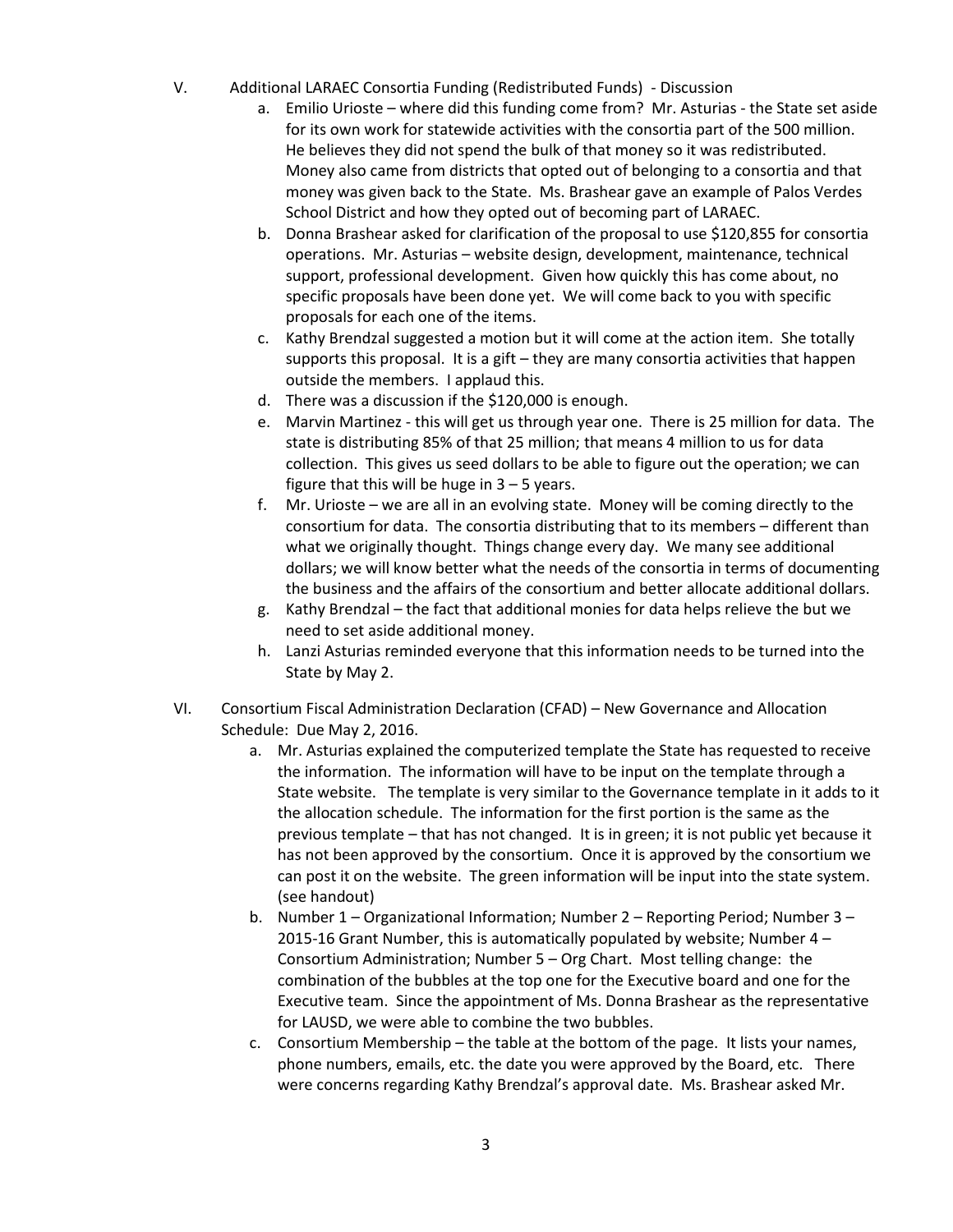- V. Additional LARAEC Consortia Funding (Redistributed Funds) Discussion
	- a. Emilio Urioste where did this funding come from? Mr. Asturias the State set aside for its own work for statewide activities with the consortia part of the 500 million. He believes they did not spend the bulk of that money so it was redistributed. Money also came from districts that opted out of belonging to a consortia and that money was given back to the State. Ms. Brashear gave an example of Palos Verdes School District and how they opted out of becoming part of LARAEC.
	- b. Donna Brashear asked for clarification of the proposal to use \$120,855 for consortia operations. Mr. Asturias – website design, development, maintenance, technical support, professional development. Given how quickly this has come about, no specific proposals have been done yet. We will come back to you with specific proposals for each one of the items.
	- c. Kathy Brendzal suggested a motion but it will come at the action item. She totally supports this proposal. It is a gift – they are many consortia activities that happen outside the members. I applaud this.
	- d. There was a discussion if the \$120,000 is enough.
	- e. Marvin Martinez this will get us through year one. There is 25 million for data. The state is distributing 85% of that 25 million; that means 4 million to us for data collection. This gives us seed dollars to be able to figure out the operation; we can figure that this will be huge in  $3 - 5$  years.
	- f. Mr. Urioste we are all in an evolving state. Money will be coming directly to the consortium for data. The consortia distributing that to its members – different than what we originally thought. Things change every day. We many see additional dollars; we will know better what the needs of the consortia in terms of documenting the business and the affairs of the consortium and better allocate additional dollars.
	- g. Kathy Brendzal the fact that additional monies for data helps relieve the but we need to set aside additional money.
	- h. Lanzi Asturias reminded everyone that this information needs to be turned into the State by May 2.
- VI. Consortium Fiscal Administration Declaration (CFAD) New Governance and Allocation Schedule: Due May 2, 2016.
	- a. Mr. Asturias explained the computerized template the State has requested to receive the information. The information will have to be input on the template through a State website. The template is very similar to the Governance template in it adds to it the allocation schedule. The information for the first portion is the same as the previous template – that has not changed. It is in green; it is not public yet because it has not been approved by the consortium. Once it is approved by the consortium we can post it on the website. The green information will be input into the state system. (see handout)
	- b. Number 1 Organizational Information; Number 2 Reporting Period; Number 3 2015-16 Grant Number, this is automatically populated by website; Number 4 – Consortium Administration; Number 5 – Org Chart. Most telling change: the combination of the bubbles at the top one for the Executive board and one for the Executive team. Since the appointment of Ms. Donna Brashear as the representative for LAUSD, we were able to combine the two bubbles.
	- c. Consortium Membership the table at the bottom of the page. It lists your names, phone numbers, emails, etc. the date you were approved by the Board, etc. There were concerns regarding Kathy Brendzal's approval date. Ms. Brashear asked Mr.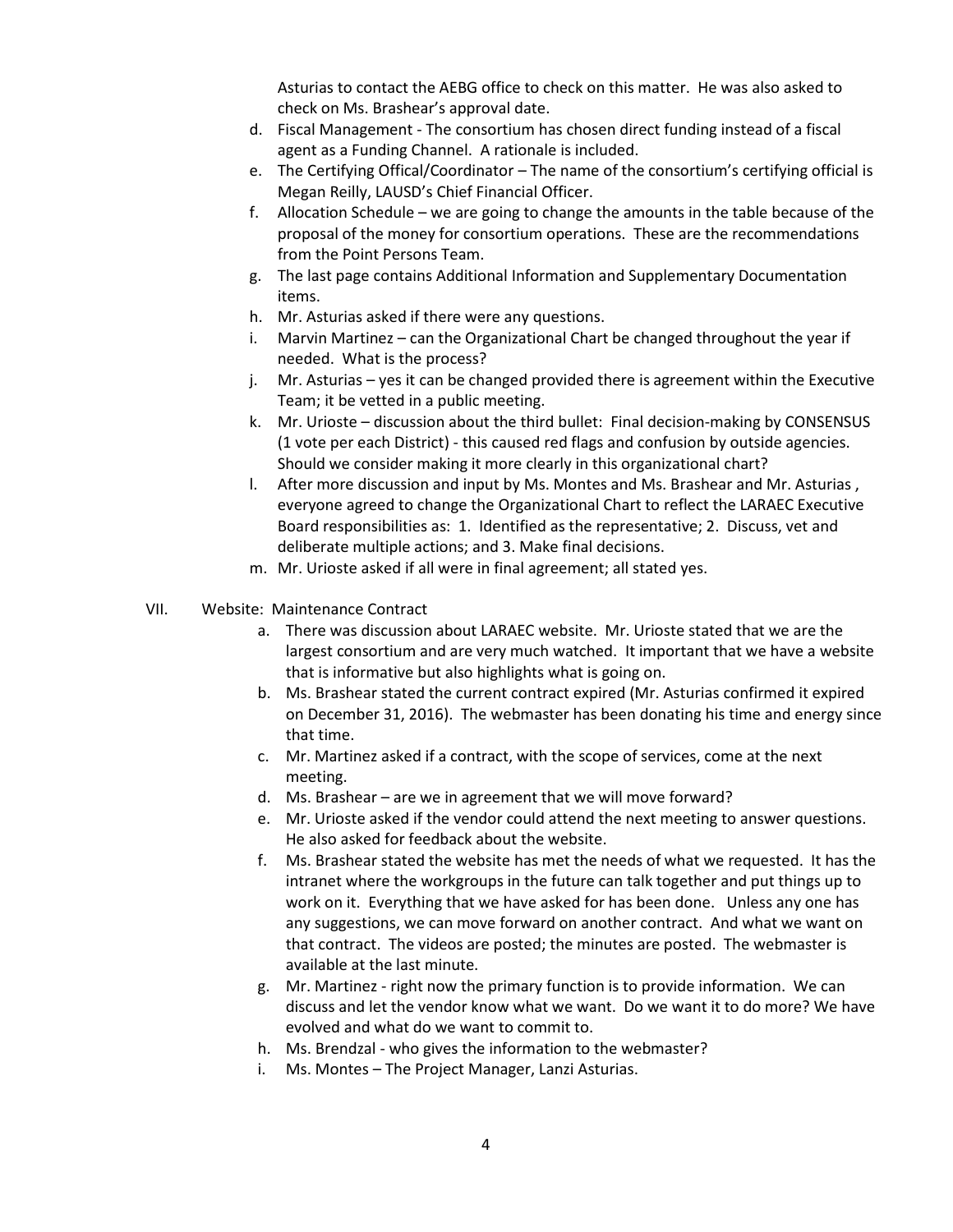Asturias to contact the AEBG office to check on this matter. He was also asked to check on Ms. Brashear's approval date.

- d. Fiscal Management The consortium has chosen direct funding instead of a fiscal agent as a Funding Channel. A rationale is included.
- e. The Certifying Offical/Coordinator The name of the consortium's certifying official is Megan Reilly, LAUSD's Chief Financial Officer.
- f. Allocation Schedule we are going to change the amounts in the table because of the proposal of the money for consortium operations. These are the recommendations from the Point Persons Team.
- g. The last page contains Additional Information and Supplementary Documentation items.
- h. Mr. Asturias asked if there were any questions.
- i. Marvin Martinez can the Organizational Chart be changed throughout the year if needed. What is the process?
- j. Mr. Asturias yes it can be changed provided there is agreement within the Executive Team; it be vetted in a public meeting.
- k. Mr. Urioste discussion about the third bullet: Final decision-making by CONSENSUS (1 vote per each District) - this caused red flags and confusion by outside agencies. Should we consider making it more clearly in this organizational chart?
- l. After more discussion and input by Ms. Montes and Ms. Brashear and Mr. Asturias , everyone agreed to change the Organizational Chart to reflect the LARAEC Executive Board responsibilities as: 1. Identified as the representative; 2. Discuss, vet and deliberate multiple actions; and 3. Make final decisions.
- m. Mr. Urioste asked if all were in final agreement; all stated yes.
- VII. Website: Maintenance Contract
	- a. There was discussion about LARAEC website. Mr. Urioste stated that we are the largest consortium and are very much watched. It important that we have a website that is informative but also highlights what is going on.
	- b. Ms. Brashear stated the current contract expired (Mr. Asturias confirmed it expired on December 31, 2016). The webmaster has been donating his time and energy since that time.
	- c. Mr. Martinez asked if a contract, with the scope of services, come at the next meeting.
	- d. Ms. Brashear are we in agreement that we will move forward?
	- e. Mr. Urioste asked if the vendor could attend the next meeting to answer questions. He also asked for feedback about the website.
	- f. Ms. Brashear stated the website has met the needs of what we requested. It has the intranet where the workgroups in the future can talk together and put things up to work on it. Everything that we have asked for has been done. Unless any one has any suggestions, we can move forward on another contract. And what we want on that contract. The videos are posted; the minutes are posted. The webmaster is available at the last minute.
	- g. Mr. Martinez right now the primary function is to provide information. We can discuss and let the vendor know what we want. Do we want it to do more? We have evolved and what do we want to commit to.
	- h. Ms. Brendzal who gives the information to the webmaster?
	- i. Ms. Montes The Project Manager, Lanzi Asturias.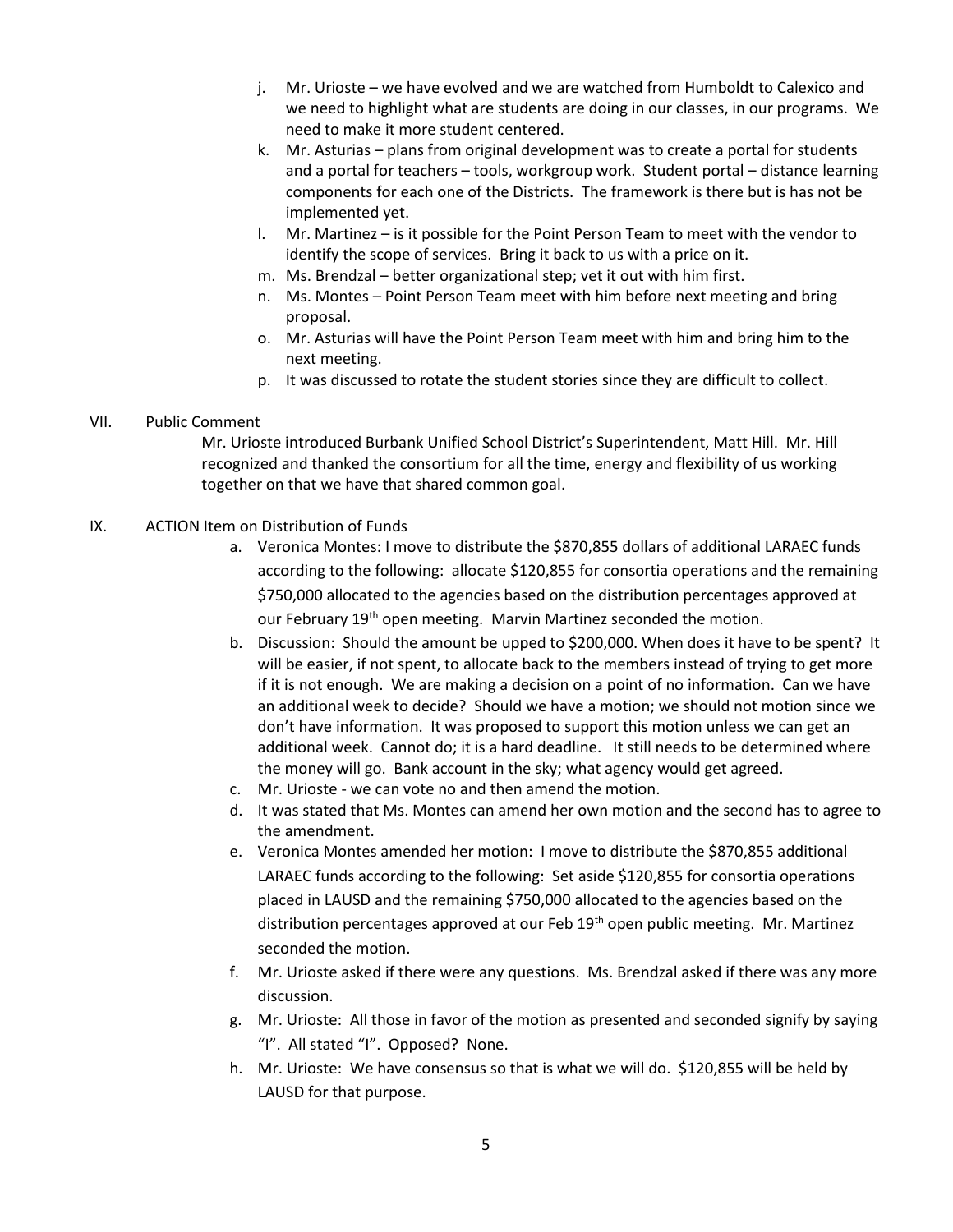- j. Mr. Urioste we have evolved and we are watched from Humboldt to Calexico and we need to highlight what are students are doing in our classes, in our programs. We need to make it more student centered.
- k. Mr. Asturias plans from original development was to create a portal for students and a portal for teachers – tools, workgroup work. Student portal – distance learning components for each one of the Districts. The framework is there but is has not be implemented yet.
- l. Mr. Martinez is it possible for the Point Person Team to meet with the vendor to identify the scope of services. Bring it back to us with a price on it.
- m. Ms. Brendzal better organizational step; vet it out with him first.
- n. Ms. Montes Point Person Team meet with him before next meeting and bring proposal.
- o. Mr. Asturias will have the Point Person Team meet with him and bring him to the next meeting.
- p. It was discussed to rotate the student stories since they are difficult to collect.

## VII. Public Comment

Mr. Urioste introduced Burbank Unified School District's Superintendent, Matt Hill. Mr. Hill recognized and thanked the consortium for all the time, energy and flexibility of us working together on that we have that shared common goal.

## IX. ACTION Item on Distribution of Funds

- a. Veronica Montes: I move to distribute the \$870,855 dollars of additional LARAEC funds according to the following: allocate \$120,855 for consortia operations and the remaining \$750,000 allocated to the agencies based on the distribution percentages approved at our February 19<sup>th</sup> open meeting. Marvin Martinez seconded the motion.
- b. Discussion: Should the amount be upped to \$200,000. When does it have to be spent? It will be easier, if not spent, to allocate back to the members instead of trying to get more if it is not enough. We are making a decision on a point of no information. Can we have an additional week to decide? Should we have a motion; we should not motion since we don't have information. It was proposed to support this motion unless we can get an additional week. Cannot do; it is a hard deadline. It still needs to be determined where the money will go. Bank account in the sky; what agency would get agreed.
- c. Mr. Urioste we can vote no and then amend the motion.
- d. It was stated that Ms. Montes can amend her own motion and the second has to agree to the amendment.
- e. Veronica Montes amended her motion: I move to distribute the \$870,855 additional LARAEC funds according to the following: Set aside \$120,855 for consortia operations placed in LAUSD and the remaining \$750,000 allocated to the agencies based on the distribution percentages approved at our Feb 19<sup>th</sup> open public meeting. Mr. Martinez seconded the motion.
- f. Mr. Urioste asked if there were any questions. Ms. Brendzal asked if there was any more discussion.
- g. Mr. Urioste: All those in favor of the motion as presented and seconded signify by saying "I". All stated "I". Opposed? None.
- h. Mr. Urioste: We have consensus so that is what we will do. \$120,855 will be held by LAUSD for that purpose.